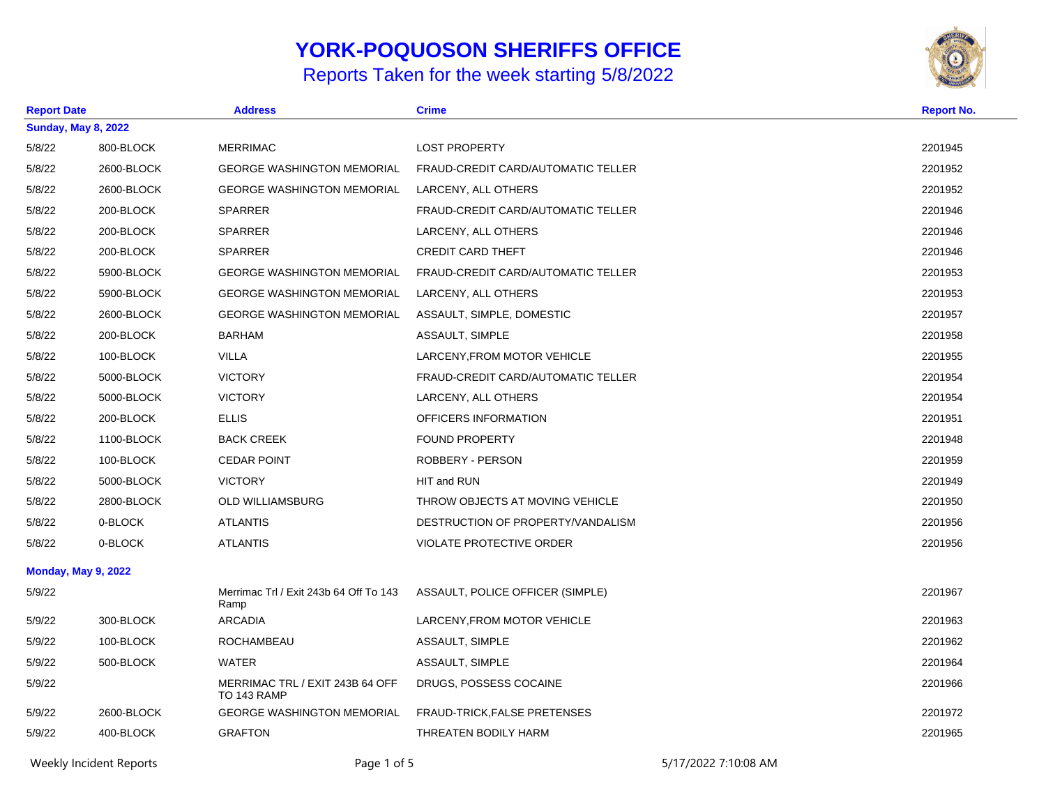## **YORK-POQUOSON SHERIFFS OFFICE**

## Reports Taken for the week starting 5/8/2022



| <b>Report Date</b> |                            | <b>Address</b>                                 | <b>Crime</b>                       | <b>Report No.</b> |  |  |
|--------------------|----------------------------|------------------------------------------------|------------------------------------|-------------------|--|--|
|                    | <b>Sunday, May 8, 2022</b> |                                                |                                    |                   |  |  |
| 5/8/22             | 800-BLOCK                  | <b>MERRIMAC</b>                                | <b>LOST PROPERTY</b>               | 2201945           |  |  |
| 5/8/22             | 2600-BLOCK                 | <b>GEORGE WASHINGTON MEMORIAL</b>              | FRAUD-CREDIT CARD/AUTOMATIC TELLER | 2201952           |  |  |
| 5/8/22             | 2600-BLOCK                 | <b>GEORGE WASHINGTON MEMORIAL</b>              | LARCENY, ALL OTHERS                | 2201952           |  |  |
| 5/8/22             | 200-BLOCK                  | <b>SPARRER</b>                                 | FRAUD-CREDIT CARD/AUTOMATIC TELLER | 2201946           |  |  |
| 5/8/22             | 200-BLOCK                  | <b>SPARRER</b>                                 | LARCENY, ALL OTHERS                | 2201946           |  |  |
| 5/8/22             | 200-BLOCK                  | <b>SPARRER</b>                                 | <b>CREDIT CARD THEFT</b>           | 2201946           |  |  |
| 5/8/22             | 5900-BLOCK                 | <b>GEORGE WASHINGTON MEMORIAL</b>              | FRAUD-CREDIT CARD/AUTOMATIC TELLER | 2201953           |  |  |
| 5/8/22             | 5900-BLOCK                 | <b>GEORGE WASHINGTON MEMORIAL</b>              | LARCENY, ALL OTHERS                | 2201953           |  |  |
| 5/8/22             | 2600-BLOCK                 | <b>GEORGE WASHINGTON MEMORIAL</b>              | ASSAULT, SIMPLE, DOMESTIC          | 2201957           |  |  |
| 5/8/22             | 200-BLOCK                  | <b>BARHAM</b>                                  | ASSAULT, SIMPLE                    | 2201958           |  |  |
| 5/8/22             | 100-BLOCK                  | <b>VILLA</b>                                   | LARCENY, FROM MOTOR VEHICLE        | 2201955           |  |  |
| 5/8/22             | 5000-BLOCK                 | <b>VICTORY</b>                                 | FRAUD-CREDIT CARD/AUTOMATIC TELLER | 2201954           |  |  |
| 5/8/22             | 5000-BLOCK                 | <b>VICTORY</b>                                 | LARCENY, ALL OTHERS                | 2201954           |  |  |
| 5/8/22             | 200-BLOCK                  | <b>ELLIS</b>                                   | OFFICERS INFORMATION               | 2201951           |  |  |
| 5/8/22             | 1100-BLOCK                 | <b>BACK CREEK</b>                              | <b>FOUND PROPERTY</b>              | 2201948           |  |  |
| 5/8/22             | 100-BLOCK                  | <b>CEDAR POINT</b>                             | ROBBERY - PERSON                   | 2201959           |  |  |
| 5/8/22             | 5000-BLOCK                 | <b>VICTORY</b>                                 | HIT and RUN                        | 2201949           |  |  |
| 5/8/22             | 2800-BLOCK                 | <b>OLD WILLIAMSBURG</b>                        | THROW OBJECTS AT MOVING VEHICLE    | 2201950           |  |  |
| 5/8/22             | 0-BLOCK                    | <b>ATLANTIS</b>                                | DESTRUCTION OF PROPERTY/VANDALISM  | 2201956           |  |  |
| 5/8/22             | 0-BLOCK                    | <b>ATLANTIS</b>                                | <b>VIOLATE PROTECTIVE ORDER</b>    | 2201956           |  |  |
|                    | <b>Monday, May 9, 2022</b> |                                                |                                    |                   |  |  |
| 5/9/22             |                            | Merrimac Trl / Exit 243b 64 Off To 143<br>Ramp | ASSAULT, POLICE OFFICER (SIMPLE)   | 2201967           |  |  |
| 5/9/22             | 300-BLOCK                  | <b>ARCADIA</b>                                 | LARCENY, FROM MOTOR VEHICLE        | 2201963           |  |  |
| 5/9/22             | 100-BLOCK                  | <b>ROCHAMBEAU</b>                              | ASSAULT, SIMPLE                    | 2201962           |  |  |
| 5/9/22             | 500-BLOCK                  | <b>WATER</b>                                   | ASSAULT, SIMPLE                    | 2201964           |  |  |
| 5/9/22             |                            | MERRIMAC TRL / EXIT 243B 64 OFF<br>TO 143 RAMP | DRUGS, POSSESS COCAINE             | 2201966           |  |  |
| 5/9/22             | 2600-BLOCK                 | <b>GEORGE WASHINGTON MEMORIAL</b>              | FRAUD-TRICK, FALSE PRETENSES       | 2201972           |  |  |
| 5/9/22             | 400-BLOCK                  | <b>GRAFTON</b>                                 | THREATEN BODILY HARM               | 2201965           |  |  |
|                    |                            |                                                |                                    |                   |  |  |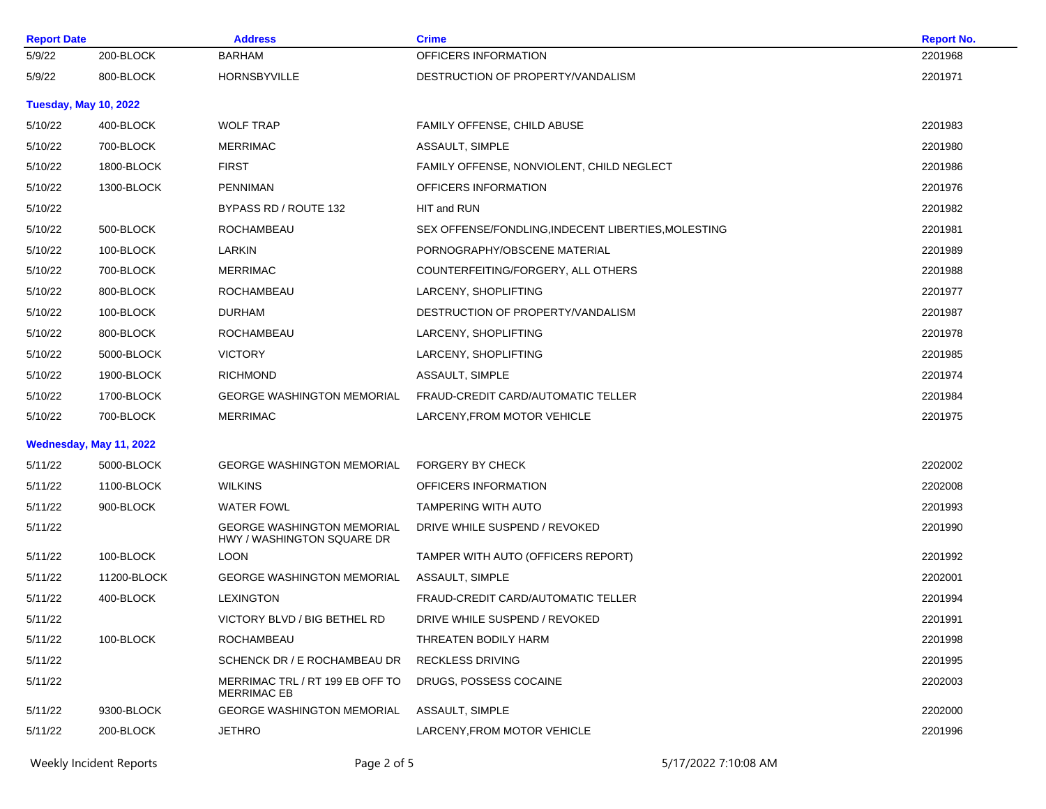|             | <b>Address</b>                                                                | <b>Crime</b>                                        | <b>Report No.</b> |
|-------------|-------------------------------------------------------------------------------|-----------------------------------------------------|-------------------|
| 200-BLOCK   | <b>BARHAM</b>                                                                 | OFFICERS INFORMATION                                | 2201968           |
| 800-BLOCK   | HORNSBYVILLE                                                                  | DESTRUCTION OF PROPERTY/VANDALISM                   | 2201971           |
|             |                                                                               |                                                     |                   |
| 400-BLOCK   | <b>WOLF TRAP</b>                                                              | FAMILY OFFENSE, CHILD ABUSE                         | 2201983           |
| 700-BLOCK   | <b>MERRIMAC</b>                                                               | ASSAULT, SIMPLE                                     | 2201980           |
| 1800-BLOCK  | <b>FIRST</b>                                                                  | FAMILY OFFENSE, NONVIOLENT, CHILD NEGLECT           | 2201986           |
| 1300-BLOCK  | <b>PENNIMAN</b>                                                               | OFFICERS INFORMATION                                | 2201976           |
|             | BYPASS RD / ROUTE 132                                                         | HIT and RUN                                         | 2201982           |
| 500-BLOCK   | ROCHAMBEAU                                                                    | SEX OFFENSE/FONDLING, INDECENT LIBERTIES, MOLESTING | 2201981           |
| 100-BLOCK   | LARKIN                                                                        | PORNOGRAPHY/OBSCENE MATERIAL                        | 2201989           |
| 700-BLOCK   | <b>MERRIMAC</b>                                                               | COUNTERFEITING/FORGERY, ALL OTHERS                  | 2201988           |
| 800-BLOCK   | ROCHAMBEAU                                                                    | LARCENY, SHOPLIFTING                                | 2201977           |
| 100-BLOCK   | DURHAM                                                                        | DESTRUCTION OF PROPERTY/VANDALISM                   | 2201987           |
| 800-BLOCK   | ROCHAMBEAU                                                                    | LARCENY, SHOPLIFTING                                | 2201978           |
| 5000-BLOCK  | <b>VICTORY</b>                                                                | LARCENY, SHOPLIFTING                                | 2201985           |
| 1900-BLOCK  | <b>RICHMOND</b>                                                               | ASSAULT, SIMPLE                                     | 2201974           |
| 1700-BLOCK  | <b>GEORGE WASHINGTON MEMORIAL</b>                                             | FRAUD-CREDIT CARD/AUTOMATIC TELLER                  | 2201984           |
| 700-BLOCK   | <b>MERRIMAC</b>                                                               | LARCENY, FROM MOTOR VEHICLE                         | 2201975           |
|             |                                                                               |                                                     |                   |
| 5000-BLOCK  | <b>GEORGE WASHINGTON MEMORIAL</b>                                             | <b>FORGERY BY CHECK</b>                             | 2202002           |
| 1100-BLOCK  | <b>WILKINS</b>                                                                | OFFICERS INFORMATION                                | 2202008           |
| 900-BLOCK   | <b>WATER FOWL</b>                                                             | <b>TAMPERING WITH AUTO</b>                          | 2201993           |
|             | <b>GEORGE WASHINGTON MEMORIAL</b><br>HWY / WASHINGTON SQUARE DR               | DRIVE WHILE SUSPEND / REVOKED                       | 2201990           |
| 100-BLOCK   | <b>LOON</b>                                                                   | TAMPER WITH AUTO (OFFICERS REPORT)                  | 2201992           |
| 11200-BLOCK | <b>GEORGE WASHINGTON MEMORIAL</b>                                             | ASSAULT, SIMPLE                                     | 2202001           |
| 400-BLOCK   | LEXINGTON                                                                     | FRAUD-CREDIT CARD/AUTOMATIC TELLER                  | 2201994           |
|             | VICTORY BLVD / BIG BETHEL RD                                                  | DRIVE WHILE SUSPEND / REVOKED                       | 2201991           |
| 100-BLOCK   | ROCHAMBEAU                                                                    | THREATEN BODILY HARM                                | 2201998           |
|             | SCHENCK DR / E ROCHAMBEAU DR                                                  | <b>RECKLESS DRIVING</b>                             | 2201995           |
|             | MERRIMAC TRL / RT 199 EB OFF TO<br><b>MERRIMAC EB</b>                         | DRUGS, POSSESS COCAINE                              | 2202003           |
| 9300-BLOCK  | <b>GEORGE WASHINGTON MEMORIAL</b>                                             | ASSAULT, SIMPLE                                     | 2202000           |
| 200-BLOCK   | <b>JETHRO</b>                                                                 | LARCENY.FROM MOTOR VEHICLE                          | 2201996           |
|             | <b>Report Date</b><br><b>Tuesday, May 10, 2022</b><br>Wednesday, May 11, 2022 |                                                     |                   |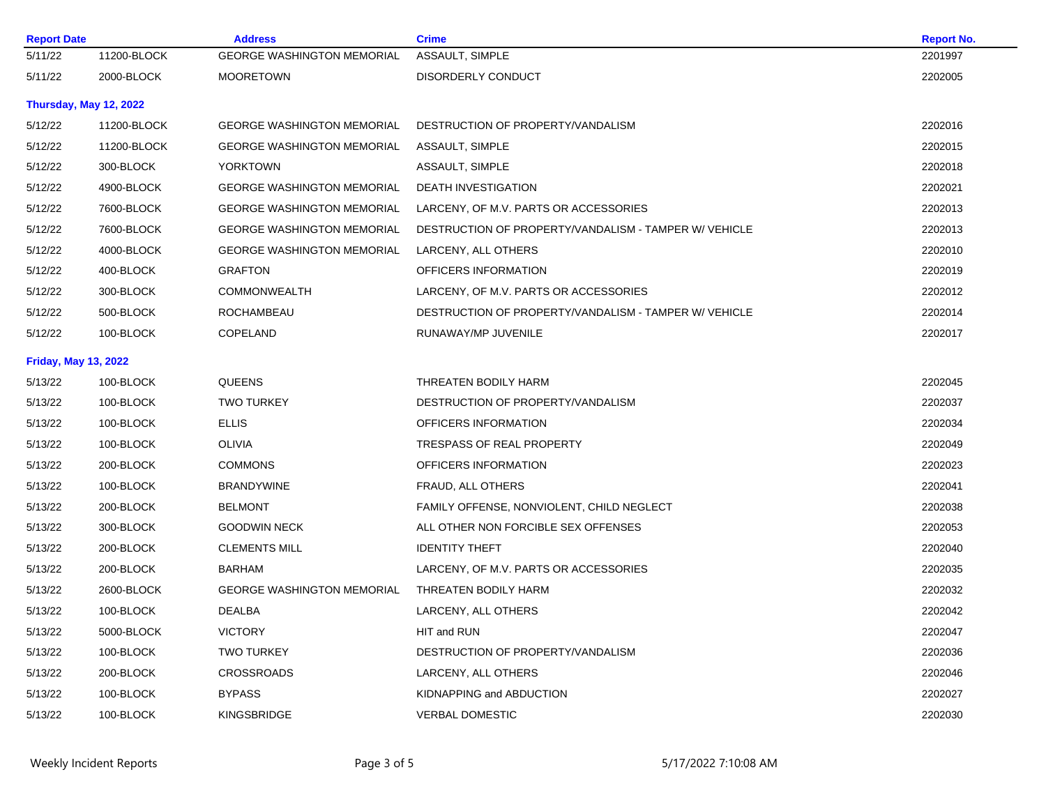| <b>Report Date</b>          |                        | <b>Address</b>                    | <b>Crime</b>                                          | <b>Report No.</b> |
|-----------------------------|------------------------|-----------------------------------|-------------------------------------------------------|-------------------|
| 5/11/22                     | 11200-BLOCK            | <b>GEORGE WASHINGTON MEMORIAL</b> | ASSAULT, SIMPLE                                       | 2201997           |
| 5/11/22                     | 2000-BLOCK             | <b>MOORETOWN</b>                  | DISORDERLY CONDUCT                                    | 2202005           |
|                             | Thursday, May 12, 2022 |                                   |                                                       |                   |
| 5/12/22                     | 11200-BLOCK            | <b>GEORGE WASHINGTON MEMORIAL</b> | DESTRUCTION OF PROPERTY/VANDALISM                     | 2202016           |
| 5/12/22                     | 11200-BLOCK            | <b>GEORGE WASHINGTON MEMORIAL</b> | <b>ASSAULT, SIMPLE</b>                                | 2202015           |
| 5/12/22                     | 300-BLOCK              | <b>YORKTOWN</b>                   | ASSAULT, SIMPLE                                       | 2202018           |
| 5/12/22                     | 4900-BLOCK             | <b>GEORGE WASHINGTON MEMORIAL</b> | DEATH INVESTIGATION                                   | 2202021           |
| 5/12/22                     | 7600-BLOCK             | <b>GEORGE WASHINGTON MEMORIAL</b> | LARCENY, OF M.V. PARTS OR ACCESSORIES                 | 2202013           |
| 5/12/22                     | 7600-BLOCK             | <b>GEORGE WASHINGTON MEMORIAL</b> | DESTRUCTION OF PROPERTY/VANDALISM - TAMPER W/ VEHICLE | 2202013           |
| 5/12/22                     | 4000-BLOCK             | <b>GEORGE WASHINGTON MEMORIAL</b> | LARCENY, ALL OTHERS                                   | 2202010           |
| 5/12/22                     | 400-BLOCK              | <b>GRAFTON</b>                    | OFFICERS INFORMATION                                  | 2202019           |
| 5/12/22                     | 300-BLOCK              | <b>COMMONWEALTH</b>               | LARCENY, OF M.V. PARTS OR ACCESSORIES                 | 2202012           |
| 5/12/22                     | 500-BLOCK              | ROCHAMBEAU                        | DESTRUCTION OF PROPERTY/VANDALISM - TAMPER W/ VEHICLE | 2202014           |
| 5/12/22                     | 100-BLOCK              | COPELAND                          | RUNAWAY/MP JUVENILE                                   | 2202017           |
| <b>Friday, May 13, 2022</b> |                        |                                   |                                                       |                   |
| 5/13/22                     | 100-BLOCK              | <b>QUEENS</b>                     | THREATEN BODILY HARM                                  | 2202045           |
| 5/13/22                     | 100-BLOCK              | <b>TWO TURKEY</b>                 | DESTRUCTION OF PROPERTY/VANDALISM                     | 2202037           |
| 5/13/22                     | 100-BLOCK              | <b>ELLIS</b>                      | OFFICERS INFORMATION                                  | 2202034           |
| 5/13/22                     | 100-BLOCK              | <b>OLIVIA</b>                     | TRESPASS OF REAL PROPERTY                             | 2202049           |
| 5/13/22                     | 200-BLOCK              | <b>COMMONS</b>                    | OFFICERS INFORMATION                                  | 2202023           |
| 5/13/22                     | 100-BLOCK              | <b>BRANDYWINE</b>                 | FRAUD, ALL OTHERS                                     | 2202041           |
| 5/13/22                     | 200-BLOCK              | <b>BELMONT</b>                    | FAMILY OFFENSE, NONVIOLENT, CHILD NEGLECT             | 2202038           |
| 5/13/22                     | 300-BLOCK              | <b>GOODWIN NECK</b>               | ALL OTHER NON FORCIBLE SEX OFFENSES                   | 2202053           |
| 5/13/22                     | 200-BLOCK              | <b>CLEMENTS MILL</b>              | <b>IDENTITY THEFT</b>                                 | 2202040           |
| 5/13/22                     | 200-BLOCK              | BARHAM                            | LARCENY, OF M.V. PARTS OR ACCESSORIES                 | 2202035           |
| 5/13/22                     | 2600-BLOCK             | <b>GEORGE WASHINGTON MEMORIAL</b> | THREATEN BODILY HARM                                  | 2202032           |
| 5/13/22                     | 100-BLOCK              | DEALBA                            | LARCENY, ALL OTHERS                                   | 2202042           |
| 5/13/22                     | 5000-BLOCK             | <b>VICTORY</b>                    | HIT and RUN                                           | 2202047           |
| 5/13/22                     | 100-BLOCK              | <b>TWO TURKEY</b>                 | DESTRUCTION OF PROPERTY/VANDALISM                     | 2202036           |
| 5/13/22                     | 200-BLOCK              | <b>CROSSROADS</b>                 | LARCENY, ALL OTHERS                                   | 2202046           |
| 5/13/22                     | 100-BLOCK              | <b>BYPASS</b>                     | KIDNAPPING and ABDUCTION                              | 2202027           |
| 5/13/22                     | 100-BLOCK              | <b>KINGSBRIDGE</b>                | <b>VERBAL DOMESTIC</b>                                | 2202030           |
|                             |                        |                                   |                                                       |                   |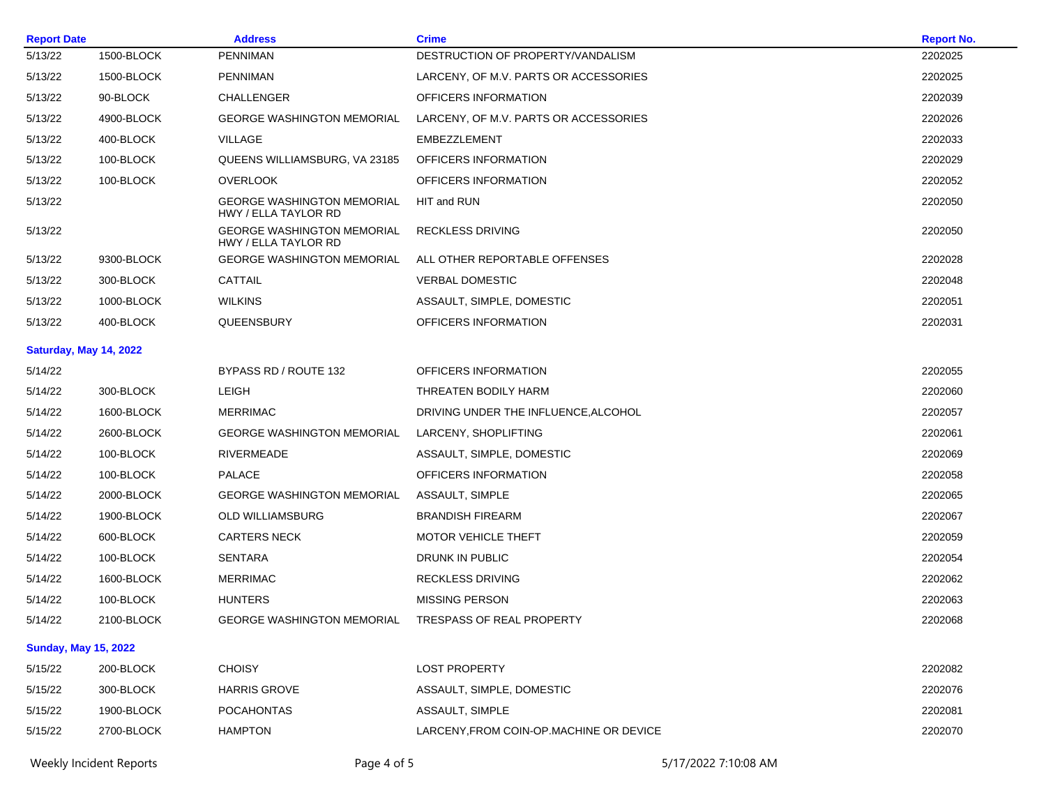| <b>Report Date</b>          |                         | <b>Address</b>                                            | <b>Crime</b>                             |                      | <b>Report No.</b> |
|-----------------------------|-------------------------|-----------------------------------------------------------|------------------------------------------|----------------------|-------------------|
| 5/13/22                     | 1500-BLOCK              | <b>PENNIMAN</b>                                           | DESTRUCTION OF PROPERTY/VANDALISM        |                      | 2202025           |
| 5/13/22                     | 1500-BLOCK              | <b>PENNIMAN</b>                                           | LARCENY, OF M.V. PARTS OR ACCESSORIES    |                      | 2202025           |
| 5/13/22                     | 90-BLOCK                | CHALLENGER                                                | OFFICERS INFORMATION                     |                      | 2202039           |
| 5/13/22                     | 4900-BLOCK              | <b>GEORGE WASHINGTON MEMORIAL</b>                         | LARCENY, OF M.V. PARTS OR ACCESSORIES    |                      | 2202026           |
| 5/13/22                     | 400-BLOCK               | VILLAGE                                                   | EMBEZZLEMENT                             |                      | 2202033           |
| 5/13/22                     | 100-BLOCK               | QUEENS WILLIAMSBURG, VA 23185                             | OFFICERS INFORMATION                     |                      | 2202029           |
| 5/13/22                     | 100-BLOCK               | <b>OVERLOOK</b>                                           | OFFICERS INFORMATION                     |                      | 2202052           |
| 5/13/22                     |                         | <b>GEORGE WASHINGTON MEMORIAL</b><br>HWY / ELLA TAYLOR RD | HIT and RUN                              |                      | 2202050           |
| 5/13/22                     |                         | <b>GEORGE WASHINGTON MEMORIAL</b><br>HWY / ELLA TAYLOR RD | <b>RECKLESS DRIVING</b>                  |                      | 2202050           |
| 5/13/22                     | 9300-BLOCK              | <b>GEORGE WASHINGTON MEMORIAL</b>                         | ALL OTHER REPORTABLE OFFENSES            |                      | 2202028           |
| 5/13/22                     | 300-BLOCK               | CATTAIL                                                   | <b>VERBAL DOMESTIC</b>                   |                      | 2202048           |
| 5/13/22                     | 1000-BLOCK              | <b>WILKINS</b>                                            | ASSAULT, SIMPLE, DOMESTIC                |                      | 2202051           |
| 5/13/22                     | 400-BLOCK               | QUEENSBURY                                                | OFFICERS INFORMATION                     |                      | 2202031           |
|                             | Saturday, May 14, 2022  |                                                           |                                          |                      |                   |
| 5/14/22                     |                         | BYPASS RD / ROUTE 132                                     | OFFICERS INFORMATION                     |                      | 2202055           |
| 5/14/22                     | 300-BLOCK               | <b>LEIGH</b>                                              | THREATEN BODILY HARM                     |                      | 2202060           |
| 5/14/22                     | 1600-BLOCK              | <b>MERRIMAC</b>                                           | DRIVING UNDER THE INFLUENCE, ALCOHOL     |                      | 2202057           |
| 5/14/22                     | 2600-BLOCK              | <b>GEORGE WASHINGTON MEMORIAL</b>                         | LARCENY, SHOPLIFTING                     |                      | 2202061           |
| 5/14/22                     | 100-BLOCK               | RIVERMEADE                                                | ASSAULT, SIMPLE, DOMESTIC                |                      | 2202069           |
| 5/14/22                     | 100-BLOCK               | <b>PALACE</b>                                             | OFFICERS INFORMATION                     |                      | 2202058           |
| 5/14/22                     | 2000-BLOCK              | <b>GEORGE WASHINGTON MEMORIAL</b>                         | ASSAULT, SIMPLE                          |                      | 2202065           |
| 5/14/22                     | 1900-BLOCK              | OLD WILLIAMSBURG                                          | <b>BRANDISH FIREARM</b>                  |                      | 2202067           |
| 5/14/22                     | 600-BLOCK               | <b>CARTERS NECK</b>                                       | MOTOR VEHICLE THEFT                      |                      | 2202059           |
| 5/14/22                     | 100-BLOCK               | <b>SENTARA</b>                                            | DRUNK IN PUBLIC                          |                      | 2202054           |
| 5/14/22                     | 1600-BLOCK              | <b>MERRIMAC</b>                                           | <b>RECKLESS DRIVING</b>                  |                      | 2202062           |
| 5/14/22                     | 100-BLOCK               | <b>HUNTERS</b>                                            | <b>MISSING PERSON</b>                    |                      | 2202063           |
| 5/14/22                     | 2100-BLOCK              | <b>GEORGE WASHINGTON MEMORIAL</b>                         | TRESPASS OF REAL PROPERTY                |                      | 2202068           |
| <b>Sunday, May 15, 2022</b> |                         |                                                           |                                          |                      |                   |
| 5/15/22                     | 200-BLOCK               | <b>CHOISY</b>                                             | <b>LOST PROPERTY</b>                     |                      | 2202082           |
| 5/15/22                     | 300-BLOCK               | <b>HARRIS GROVE</b>                                       | ASSAULT, SIMPLE, DOMESTIC                |                      | 2202076           |
| 5/15/22                     | 1900-BLOCK              | <b>POCAHONTAS</b>                                         | ASSAULT, SIMPLE                          |                      | 2202081           |
| 5/15/22                     | 2700-BLOCK              | <b>HAMPTON</b>                                            | LARCENY, FROM COIN-OP. MACHINE OR DEVICE |                      | 2202070           |
|                             | Weekly Incident Reports | Page 4 of 5                                               |                                          | 5/17/2022 7:10:08 AM |                   |